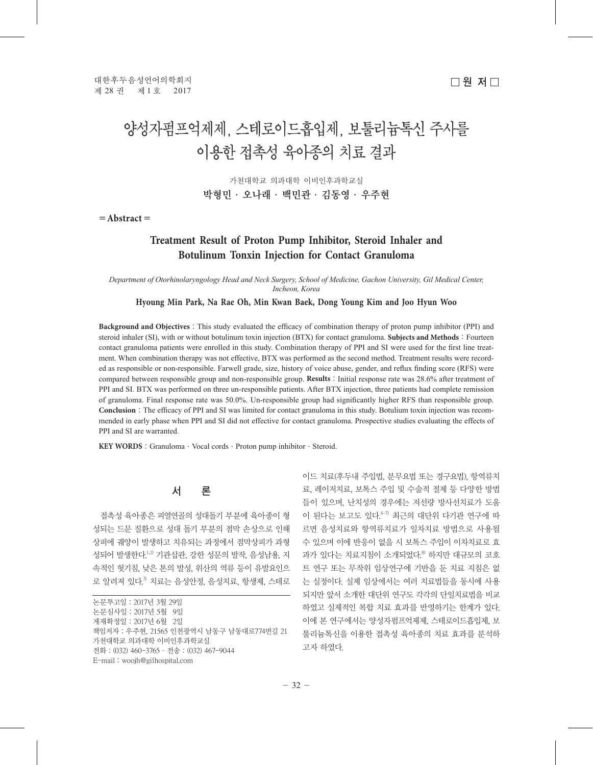# 양성자펌프억제제, 스테로이드흡입제, 보툴리늄톡신 주사를 이용한 접촉성 육아종의 치료 결과

가천대학교 의과대학 이비인후과학교실 박형민·오나래·백민관·김동영·우주현

=**Abstract**=

## **Treatment Result of Proton Pump Inhibitor, Steroid Inhaler and Botulinum Tonxin Injection for Contact Granuloma**

*Department of Otorhinolaryngology Head and Neck Surgery, School of Medicine, Gachon University, Gil Medical Center, Incheon, Korea*

#### **Hyoung Min Park, Na Rae Oh, Min Kwan Baek, Dong Young Kim and Joo Hyun Woo**

**Background and Objectives**: This study evaluated the efficacy of combination therapy of proton pump inhibitor (PPI) and steroid inhaler (SI), with or without botulinum toxin injection (BTX) for contact granuloma. **Subjects and Methods**: Fourteen contact granuloma patients were enrolled in this study. Combination therapy of PPI and SI were used for the first line treatment. When combination therapy was not effective, BTX was performed as the second method. Treatment results were recorded as responsible or non-responsible. Farwell grade, size, history of voice abuse, gender, and reflux finding score (RFS) were compared between responsible group and non-responsible group. **Results**:Initial response rate was 28.6% after treatment of PPI and SI. BTX was performed on three un-responsible patients. After BTX injection, three patients had complete remission of granuloma. Final response rate was 50.0%. Un-responsible group had significantly higher RFS than responsible group. **Conclusion**: The efficacy of PPI and SI was limited for contact granuloma in this study. Botulium toxin injection was recommended in early phase when PPI and SI did not effective for contact granuloma. Prospective studies evaluating the effects of PPI and SI are warranted.

KEY WORDS: Granuloma · Vocal cords · Proton pump inhibitor · Steroid.

# 서 론

접촉성 육아종은 피열연골의 성대돌기 부분에 육아종이 형 성되는 드문 질환으로 성대 돌기 부분의 점막 손상으로 인해 상피에 궤양이 발생하고 치유되는 과정에서 점막상피가 과형 성되어 발생한다.<sup>1,2)</sup> 기관삽관, 강한 성문의 발작, 음성남용, 지 속적인 헛기침, 낮은 톤의 발성, 위산의 역류 등이 유발요인으 로 알려져 있다.<sup>3)</sup> 치료는 음성안정, 음성치료, 항생제, 스테로

논문투고일:2017년 3월 29일 논문심사일:2017년 5월 9일 게재확정일:2017년 6월 2일 책임저자:우주현, 21565 인천광역시 남동구 남동대로774번길 21 가천대학교 의과대학 이비인후과학교실 전화:(032) 460-3765·전송:(032) 467-9044 E-mail:woojh@gilhospital.com

이드 치료(후두내 주입법, 분무요법 또는 경구요법), 항역류치 료, 레이저치료, 보톡스 주입 및 수술적 절제 등 다양한 방법 들이 있으며, 난치성의 경우에는 저선량 방사선치료가 도움 이 된다는 보고도 있다. 4-7) 최근의 대단위 다기관 연구에 따 르면 음성치료와 항역류치료가 일차치료 방법으로 사용될 수 있으며 이에 반응이 없을 시 보톡스 주입이 이차치료로 효 과가 있다는 치료지침이 소개되었다.<sup>8)</sup> 하지만 대규모의 코호 트 연구 또는 무작위 임상연구에 기반을 둔 치료 지침은 없 는 실정이다. 실제 임상에서는 여러 치료법들을 동시에 사용 되지만 앞서 소개한 대단위 연구도 각각의 단일치료법을 비교 하였고 실제적인 복합 치료 효과를 반영하기는 한계가 있다. 이에 본 연구에서는 양성자펌프억제제, 스테로이드흡입제, 보 툴리늄톡신을 이용한 접촉성 육아종의 치료 효과를 분석하 고자 하였다.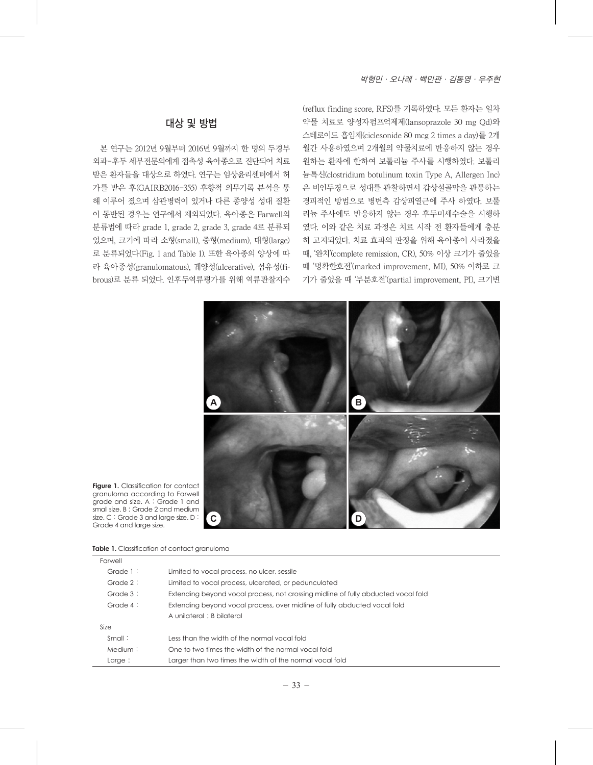(reflux finding score, RFS)를 기록하였다. 모든 환자는 일차 약물 치료로 양성자펌프억제제(lansoprazole 30 mg Qd)와 스테로이드 흡입제(ciclesonide 80 mcg 2 times a day)를 2개 월간 사용하였으며 2개월의 약물치료에 반응하지 않는 경우 원하는 환자에 한하여 보툴리늄 주사를 시행하였다. 보툴리 늄톡신(clostridium botulinum toxin Type A, Allergen Inc) 은 비인두경으로 성대를 관찰하면서 갑상설골막을 관통하는 경피적인 방법으로 병변측 갑상피열근에 주사 하였다. 보툴 리늄 주사에도 반응하지 않는 경우 후두미세수술을 시행하 였다. 이와 같은 치료 과정은 치료 시작 전 환자들에게 충분 히 고지되었다. 치료 효과의 판정을 위해 육아종이 사라졌을 때, '완치'(complete remission, CR), 50% 이상 크기가 줄었을 때 '명확한호전'(marked improvement, MI), 50% 이하로 크 기가 줄었을 때 '부분호전'(partial improvement, PI), 크기변

# 대상 및 방법

본 연구는 2012년 9월부터 2016년 9월까지 한 명의 두경부 외과-후두 세부전문의에게 접촉성 육아종으로 진단되어 치료 받은 환자들을 대상으로 하였다. 연구는 임상윤리센터에서 허 가를 받은 후(GAIRB2016-355) 후향적 의무기록 분석을 통 해 이루어 졌으며 삽관병력이 있거나 다른 종양성 성대 질환 이 동반된 경우는 연구에서 제외되었다. 육아종은 Farwell의 분류법에 따라 grade 1, grade 2, grade 3, grade 4로 분류되 었으며, 크기에 따라 소형(small), 중형(medium), 대형(large) 로 분류되었다(Fig. 1 and Table 1). 또한 육아종의 양상에 따 라 육아종성(granulomatous), 궤양성(ulcerative), 섬유성(fibrous)로 분류 되었다. 인후두역류평가를 위해 역류관찰지수



**Figure 1.** Classification for contact granuloma according to Farwell grade and size. A : Grade 1 and small size. B: Grade 2 and medium size. C : Grade 3 and large size. D : Grade 4 and large size.

| <b>Table 1.</b> Classification of contact granuloma |  |  |
|-----------------------------------------------------|--|--|
|-----------------------------------------------------|--|--|

| Farwell     |                                                                                   |
|-------------|-----------------------------------------------------------------------------------|
| Grade $1$ : | Limited to vocal process, no ulcer, sessile                                       |
| Grade $2$ : | Limited to vocal process, ulcerated, or pedunculated                              |
| Grade $3$ : | Extending beyond vocal process, not crossing midline of fully abducted vocal fold |
| Grade $4$ : | Extending beyond vocal process, over midline of fully abducted vocal fold         |
|             | A unilateral : B bilateral                                                        |
| Size        |                                                                                   |
| Small:      | Less than the width of the normal vocal fold                                      |
| Medium:     | One to two times the width of the normal vocal fold                               |
| Large:      | Larger than two times the width of the normal vocal fold                          |
|             |                                                                                   |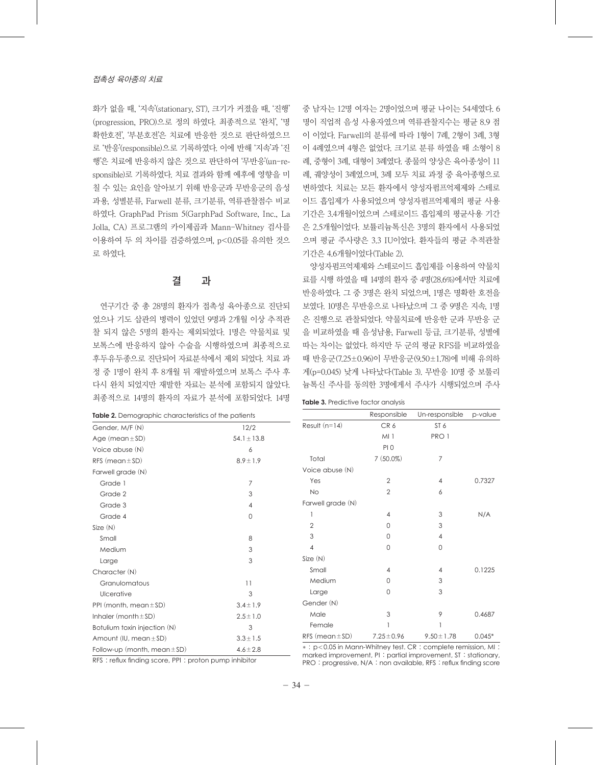화가 없을 때, '지속'(stationary, ST), 크기가 커졌을 때, '진행' (progression, PRO)으로 정의 하였다. 최종적으로 '완치', '명 확한호전', '부분호전'은 치료에 반응한 것으로 판단하였으므 로 '반응'(responsible)으로 기록하였다. 이에 반해 '지속'과 '진 행'은 치료에 반응하지 않은 것으로 판단하여 '무반응'(un-responsible)로 기록하였다. 치료 결과와 함께 예후에 영향을 미 칠 수 있는 요인을 알아보기 위해 반응군과 무반응군의 음성 과용, 성별분류, Farwell 분류, 크기분류, 역류관찰점수 비교 하였다. GraphPad Prism 5(GarphPad Software, Inc., La Jolla, CA) 프로그램의 카이제곱과 Mann-Whitney 검사를 이용하여 두 의 차이를 검증하였으며, p<0.05를 유의한 것으 로 하였다.

## 결 과

연구기간 중 총 28명의 환자가 접촉성 육아종으로 진단되 었으나 기도 삽관의 병력이 있었던 9명과 2개월 이상 추적관 찰 되지 않은 5명의 환자는 제외되었다. 1명은 약물치료 및 보톡스에 반응하지 않아 수술을 시행하였으며 최종적으로 후두유두종으로 진단되어 자료분석에서 제외 되었다. 치료 과 정 중 1명이 완치 후 8개월 뒤 재발하였으며 보톡스 주사 후 다시 완치 되었지만 재발한 자료는 분석에 포함되지 않았다. 최종적으로 14명의 환자의 자료가 분석에 포함되었다. 14명

| Table 2. Demographic characteristics of the patients |  |  |
|------------------------------------------------------|--|--|
|------------------------------------------------------|--|--|

중 남자는 12명 여자는 2명이었으며 평균 나이는 54세였다. 6 명이 직업적 음성 사용자였으며 역류관찰지수는 평균 8.9 점 이 이었다. Farwell의 분류에 따라 1형이 7례, 2형이 3례, 3형 이 4례였으며 4형은 없었다. 크기로 분류 하였을 때 소형이 8 례, 중형이 3례, 대형이 3례였다. 종물의 양상은 육아종성이 11 례, 궤양성이 3례였으며, 3례 모두 치료 과정 중 육아종형으로 변하였다. 치료는 모든 환자에서 양성자펌프억제제와 스테로 이드 흡입제가 사용되었으며 양성자펌프억제제의 평균 사용 기간은 3.4개월이었으며 스테로이드 흡입제의 평균사용 기간 은 2.5개월이었다. 보튤리늄톡신은 3명의 환자에서 사용되었 으며 평균 주사량은 3.3 IU이었다. 환자들의 평균 추적관찰 기간은 4.6개월이었다(Table 2).

양성자펌프억제제와 스테로이드 흡입제를 이용하여 약물치 료를 시행 하였을 때 14명의 환자 중 4명(28.6%)에서만 치료에 반응하였다. 그 중 3명은 완치 되었으며, 1명은 명확한 호전을 보였다. 10명은 무반응으로 나타났으며 그 중 9명은 지속, 1명 은 진행으로 관찰되었다. 약물치료에 반응한 군과 무반응 군 을 비교하였을 때 음성남용, Farwell 등급, 크기분류, 성별에 따는 차이는 없었다. 하지만 두 군의 평균 RFS를 비교하였을 때 반응군(7.25±0.96)이 무반응군(9.50±1.78)에 비해 유의하 게(p=0.045) 낮게 나타났다(Table 3). 무반응 10명 중 보툴리 늄톡신 주사를 동의한 3명에게서 주사가 시행되었으며 주사

| <b>Table 3.</b> Predictive factor analysis |
|--------------------------------------------|
|--------------------------------------------|

| Table 2. Demographic characteristics of the patients |                 |                                                             | Responsible     | Un-responsible  | p-value  |
|------------------------------------------------------|-----------------|-------------------------------------------------------------|-----------------|-----------------|----------|
| Gender, M/F (N)                                      | 12/2            | Result $(n=14)$                                             | CR6             | ST <sub>6</sub> |          |
| Age $(mean \pm SD)$                                  | $54.1 \pm 13.8$ |                                                             | MI              | PRO 1           |          |
| Voice abuse (N)                                      | 6               |                                                             | PIO             |                 |          |
| RFS (mean $\pm$ SD)                                  | $8.9 \pm 1.9$   | Total                                                       | $7(50.0\%)$     | 7               |          |
| Farwell grade (N)                                    |                 | Voice abuse (N)                                             |                 |                 |          |
| Grade 1                                              | 7               | Yes                                                         | $\overline{2}$  | 4               | 0.7327   |
| Grade 2                                              | 3               | <b>No</b>                                                   | $\overline{2}$  | 6               |          |
| Grade 3                                              | 4               | Farwell grade (N)                                           |                 |                 |          |
| Grade 4                                              | 0               |                                                             | 4               | 3               | N/A      |
| Size(N)                                              |                 | $\overline{2}$                                              | $\Omega$        | 3               |          |
| Small                                                | 8               | 3                                                           | 0               | 4               |          |
| Medium                                               | 3               | 4                                                           | 0               | 0               |          |
| Large                                                | 3               | Size(N)                                                     |                 |                 |          |
| Character (N)                                        |                 | Small                                                       | 4               | 4               | 0.1225   |
| Granulomatous                                        | 11              | Medium                                                      | $\Omega$        | 3               |          |
| Ulcerative                                           | 3               | Large                                                       | 0               | 3               |          |
| PPI (month, mean $\pm$ SD)                           | $3.4 \pm 1.9$   | Gender (N)                                                  |                 |                 |          |
| Inhaler (month $\pm$ SD)                             | $2.5 \pm 1.0$   | Male                                                        | 3               | 9               | 0.4687   |
| Botulium toxin injection (N)                         | 3               | Female                                                      |                 |                 |          |
| Amount (IU, mean $\pm$ SD)                           | $3.3 \pm 1.5$   | RFS (mean $\pm$ SD)                                         | $7.25 \pm 0.96$ | $9.50 \pm 1.78$ | $0.045*$ |
| Follow-up (month, mean $\pm$ SD)                     | $4.6 \pm 2.8$   | *: p<0.05 in Mann-Whitney test. CR: complete remission, MI: |                 |                 |          |

RFS : reflux finding score, PPI : proton pump inhibitor

\* : p<0.05 in Mann-Whitney test. CR : complete remission, MI : marked improvement, PI : partial improvement, ST : stationary, PRO : progressive, N/A : non available, RFS : reflux finding score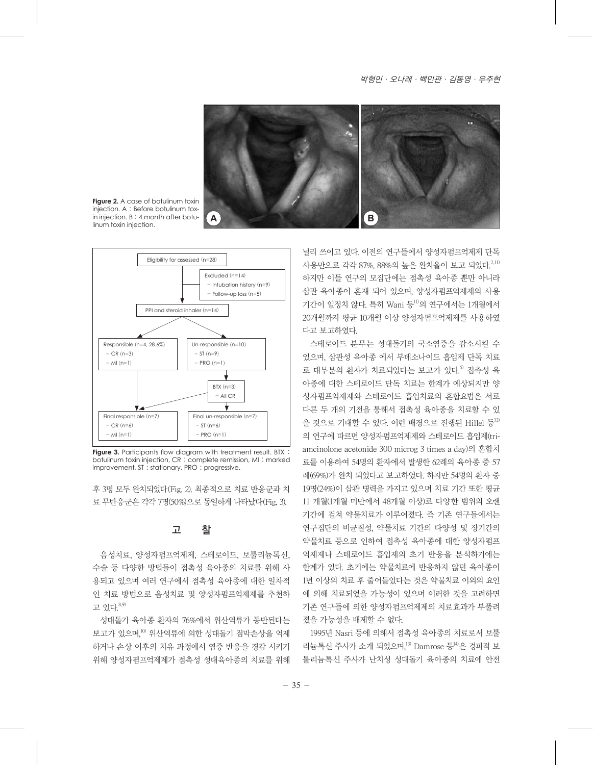#### 박형민·오나래·백민관·김동영·우주현



**Figure 2.** A case of botulinum toxin injection. A : Before botulinum toxin injection. B : 4 month after botulinum toxin injection.



Figure 3. Participants flow diagram with treatment result. BTX : botulinum toxin injection, CR : complete remission, MI : marked improvement, ST : stationary, PRO : progressive.

후 3명 모두 완치되었다(Fig. 2). 최종적으로 치료 반응군과 치 료 무반응군은 각각 7명(50%)으로 동일하게 나타났다(Fig. 3).

## 고 찰

음성치료, 양성자펌프억제제, 스테로이드, 보툴리늄톡신, 수술 등 다양한 방법들이 접촉성 육아종의 치료를 위해 사 용되고 있으며 여러 연구에서 접촉성 육아종에 대한 일차적 인 치료 방법으로 음성치료 및 양성자펌프억제제를 추천하 고 있다. 8,9)

성대돌기 육아종 환자의 76%에서 위산역류가 동반된다는 보고가 있으며,<sup>10)</sup> 위산역류에 의한 성대돌기 점막손상을 억제 하거나 손상 이후의 치유 과정에서 염증 반응을 경감 시키기 위해 양성자폄프억제제가 접촉성 성대육아종의 치료를 위해

널리 쓰이고 있다. 이전의 연구들에서 양성자펌프억제제 단독 사용만으로 각각 87%, 88%의 높은 완치율이 보고 되었다. 2,11) 하지만 이들 연구의 모집단에는 접촉성 육아종 뿐만 아니라 삽관 육아종이 혼재 되어 있으며, 양성자펌프억제제의 사용 기간이 일정치 않다. 특히 Wani 등11)의 연구에서는 1개월에서 20개월까지 평균 10개월 이상 양성자펌프억제제를 사용하였 다고 보고하였다.

스테로이드 분무는 성대돌기의 국소염증을 감소시킬 수 있으며, 삽관성 육아종 에서 부데소나이드 흡입제 단독 치료 로 대부분의 환자가 치료되었다는 보고가 있다. 5) 접촉성 육 아종에 대한 스테로이드 단독 치료는 한계가 예상되지만 양 성자펌프억제제와 스테로이드 흡입치료의 혼합요법은 서로 다른 두 개의 기전을 통해서 접촉성 육아종을 치료할 수 있 을 것으로 기대할 수 있다. 이런 배경으로 진행된 Hillel 등<sup>12)</sup> 의 연구에 따르면 양성자펌프억제제와 스테로이드 흡입제(triamcinolone acetonide 300 microg 3 times a day)의 혼합치 료를 이용하여 54명의 환자에서 발생한 62례의 육아종 중 57 례(69%)가 완치 되었다고 보고하였다. 하지만 54명의 환자 중 19명(24%)이 삽관 병력을 가지고 있으며 치료 기간 또한 평균 11 개월(1개월 미만에서 48개월 이상)로 다양한 범위의 오랜 기간에 걸쳐 약물치료가 이루어졌다. 즉 기존 연구들에서는 연구집단의 비균질성, 약물치료 기간의 다양성 및 장기간의 약물치료 등으로 인하여 접촉성 육아종에 대한 양성자펌프 억제제나 스테로이드 흡입제의 초기 반응을 분석하기에는 한계가 있다. 초기에는 약물치료에 반응하지 않던 육아종이 1년 이상의 치료 후 줄어들었다는 것은 약물치료 이외의 요인 에 의해 치료되었을 가능성이 있으며 이러한 것을 고려하면 기존 연구들에 의한 양성자펌프억제제의 치료효과가 부풀려 졌을 가능성을 배제할 수 없다.

1995년 Nasri 등에 의해서 접촉성 육아종의 치료로서 보툴 리늄톡신 주사가 소개 되었으며,<sup>13)</sup> Damrose 등<sup>14)</sup>은 경피적 보 툴리늄톡신 주사가 난치성 성대돌기 육아종의 치료에 안전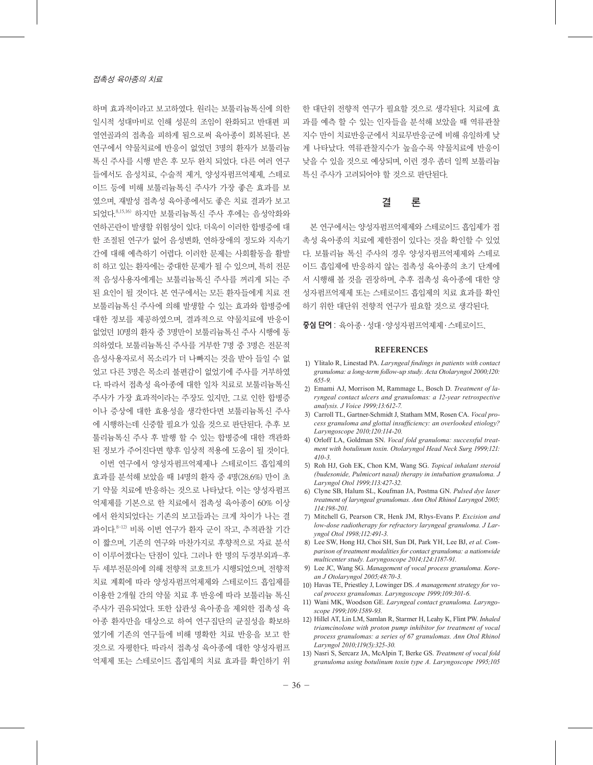하며 효과적이라고 보고하였다. 원리는 보툴리늄톡신에 의한 일시적 성대마비로 인해 성문의 조임이 완화되고 반대편 피 열연골과의 접촉을 피하게 됨으로써 육아종이 회복된다. 본 연구에서 약물치료에 반응이 없었던 3명의 환자가 보툴리늄 톡신 주사를 시행 받은 후 모두 완치 되었다. 다른 여러 연구 들에서도 음성치료, 수술적 제거, 양성자펌프억제제, 스테로 이드 등에 비해 보툴리늄톡신 주사가 가장 좋은 효과를 보 였으며, 재발성 접촉성 육아종에서도 좋은 치료 결과가 보고 되었다. 8,15,16) 하지만 보툴리늄톡신 주사 후에는 음성악화와 연하곤란이 발생할 위험성이 있다. 더욱이 이러한 합병증에 대 한 조절된 연구가 없어 음성변화, 연하장애의 정도와 지속기 간에 대해 예측하기 어렵다. 이러한 문제는 사회활동을 활발 히 하고 있는 환자에는 중대한 문제가 될 수 있으며, 특히 전문 적 음성사용자에게는 보툴리늄톡신 주사를 꺼리게 되는 주 된 요인이 될 것이다. 본 연구에서는 모든 환자들에게 치료 전 보툴리늄톡신 주사에 의해 발생할 수 있는 효과와 합병증에 대한 정보를 제공하였으며, 결과적으로 약물치료에 반응이 없었던 10명의 환자 중 3명만이 보툴리늄톡신 주사 시행에 동 의하였다. 보툴리늄톡신 주사를 거부한 7명 중 3명은 전문적 음성사용자로서 목소리가 더 나빠지는 것을 받아 들일 수 없 었고 다른 3명은 목소리 불편감이 없었기에 주사를 거부하였 다. 따라서 접촉성 육아종에 대한 일차 치료로 보툴리늄톡신 주사가 가장 효과적이라는 주장도 있지만, 그로 인한 합병증 이나 증상에 대한 효용성을 생각한다면 보툴리늄톡신 주사 에 시행하는데 신중할 필요가 있을 것으로 판단된다. 추후 보 툴리늄톡신 주사 후 발행 할 수 있는 합병증에 대한 객관화 된 정보가 주어진다면 향후 임상적 적용에 도움이 될 것이다.

이번 연구에서 양성자펌프억제제나 스테로이드 흡입제의 효과를 분석해 보았을 때 14명의 환자 중 4명(28.6%) 만이 초 기 약물 치료에 반응하는 것으로 나타났다. 이는 양성자펌프 억제제를 기본으로 한 치료에서 접촉성 육아종이 60% 이상 에서 완치되었다는 기존의 보고들과는 크게 차이가 나는 결 과이다.<sup>8-12)</sup> 비록 이번 연구가 환자 군이 작고, 추적관찰 기간 이 짧으며, 기존의 연구와 마찬가지로 후향적으로 자료 분석 이 이루어졌다는 단점이 있다. 그러나 한 명의 두경부외과-후 두 세부전문의에 의해 전향적 코호트가 시행되었으며, 전향적 치료 계획에 따라 양성자펌프억제제와 스테로이드 흡입제를 이용한 2개월 간의 약물 치료 후 반응에 따라 보툴리늄 톡신 주사가 권유되었다. 또한 삽관성 육아종을 제외한 접촉성 육 아종 환자만을 대상으로 하여 연구집단의 균질성을 확보하 였기에 기존의 연구들에 비해 명확한 치료 반응을 보고 한 것으로 자평한다. 따라서 접촉성 육아종에 대한 양성자펌프 억제제 또는 스테로이드 흡입제의 치료 효과를 확인하기 위 한 대단위 전향적 연구가 필요할 것으로 생각된다. 치료에 효 과를 예측 할 수 있는 인자들을 분석해 보았을 때 역류관찰 지수 만이 치료반응군에서 치료무반응군에 비해 유일하게 낮 게 나타났다. 역류관찰지수가 높을수록 약물치료에 반응이 낮을 수 있을 것으로 예상되며, 이런 경우 좀더 일찍 보툴리늄 특신 주사가 고려되어야 할 것으로 판단된다.

## 결 론

본 연구에서는 양성자펌프억제제와 스테로이드 흡입제가 접 촉성 육아종의 치료에 제한점이 있다는 것을 확인할 수 있었 다. 보튤리늄 톡신 주사의 경우 양성자펌프억제제와 스테로 이드 흡입제에 반응하지 않는 접촉성 육아종의 초기 단계에 서 시행해 볼 것을 권장하며, 추후 접촉성 육아종에 대한 양 성자펌프억제제 또는 스테로이드 흡입제의 치료 효과를 확인 하기 위한 대단위 전향적 연구가 필요할 것으로 생각된다.

중심 단어 : 육아종ㆍ성대ㆍ양성자펌프억제제ㆍ스테로이드.

#### **REFERENCES**

- 1) Ylitalo R, Linestad PA. *Laryngeal findings in patients with contact granuloma: a long-term follow-up study. Acta Otolaryngol 2000;120: 655-9.*
- 2) Emami AJ, Morrison M, Rammage L, Bosch D. *Treatment of laryngeal contact ulcers and granulomas: a 12-year retrospective analysis. J Voice 1999;13:612-7.*
- 3) Carroll TL, Gartner-Schmidt J, Statham MM, Rosen CA. *Vocal process granuloma and glottal insufficiency: an overlooked etiology? Laryngoscope 2010;120:114-20.*
- 4) Orloff LA, Goldman SN. *Vocal fold granuloma: successful treatment with botulinum toxin. Otolaryngol Head Neck Surg 1999;121: 410-3.*
- 5) Roh HJ, Goh EK, Chon KM, Wang SG. *Topical inhalant steroid (budesonide, Pulmicort nasal) therapy in intubation granuloma. J Laryngol Otol 1999;113:427-32.*
- 6) Clyne SB, Halum SL, Koufman JA, Postma GN. *Pulsed dye laser treatment of laryngeal granulomas. Ann Otol Rhinol Laryngol 2005; 114:198-201.*
- 7) Mitchell G, Pearson CR, Henk JM, Rhys-Evans P. *Excision and low-dose radiotherapy for refractory laryngeal granuloma. J Laryngol Otol 1998;112:491-3.*
- 8) Lee SW, Hong HJ, Choi SH, Sun DI, Park YH, Lee BJ, *et al*. *Comparison of treatment modalities for contact granuloma: a nationwide multicenter study. Laryngoscope 2014;124:1187-91.*
- 9) Lee JC, Wang SG. *Management of vocal process granuloma. Korean J Otolaryngol 2005;48:70-3.*
- 10) Havas TE, Priestley J, Lowinger DS. *A management strategy for vocal process granulomas. Laryngoscope 1999;109:301-6.*
- 11) Wani MK, Woodson GE. *Laryngeal contact granuloma. Laryngoscope 1999;109:1589-93.*
- 12) Hillel AT, Lin LM, Samlan R, Starmer H, Leahy K, Flint PW. *Inhaled triamcinolone with proton pump inhibitor for treatment of vocal process granulomas: a series of 67 granulomas. Ann Otol Rhinol Laryngol 2010;119(5):325-30.*
- 13) Nasri S, Sercarz JA, McAlpin T, Berke GS. *Treatment of vocal fold granuloma using botulinum toxin type A. Laryngoscope 1995;105*